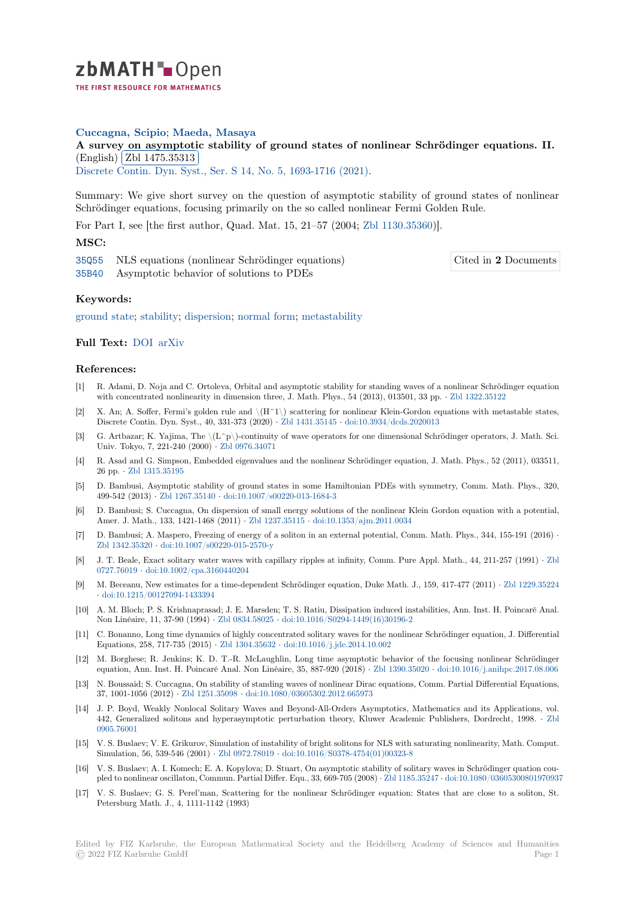

# **Cuccagna, Scipio**; **Maeda, Masaya**

[A](https://zbmath.org/) survey on asymptotic stability of ground states of nonlinear Schrödinger equations. II. (English) Zbl 1475.35313

(*Lingman*) (*List* 1410.66616)<br>Discrete Contin. Dyn. Syst., Ser. S 14, No. 5, 1693-1716 (2021).

[Summary: We give short survey on the question of asymptotic stability of ground states of nonlinea](https://zbmath.org/1475.35313)r Schrödin[ger equations, focu](https://zbmath.org/1475.35313)sing primarily on the so called nonlinear Fermi Golden Rule.

[For Part I, see \[the first author, Qu](https://zbmath.org/journals/?q=se:6332)[ad. Mat. 15, 21–57 \(2004;](https://zbmath.org/?q=in:473018) Zbl 1130.35360)].

# **MSC:**

35Q55 NLS equations (nonlinear Schrödinger equations) 35B40 Asymptotic behavior of solutions to PDEs

Cited in **2** Documents

#### **Keywords:**

[ground](https://zbmath.org/classification/?q=cc:35Q55) state; stability; dispersion; normal form; metastability

## **Full Text:** DOI arXiv

## **[References:](https://zbmath.org/?q=ut:ground+state)**

- [1] R. Adami, D. Noja and C. Ortoleva, Orbital and asymptotic stability for standing waves of a nonlinear Schrödinger equation with conc[entrat](https://dx.doi.org/10.3934/dcdss.2020450)[ed nonli](https://arxiv.org/abs/2009.00573)nearity in dimension three, J. Math. Phys., 54 (2013), 013501, 33 pp. *·* Zbl 1322.35122
- [2] X. An; A. Soffer, Fermi's golden rule and  $\H_1\$  scattering for nonlinear Klein-Gordon equations with metastable states, Discrete Contin. Dyn. Syst., 40, 331-373 (2020) *·* Zbl 1431.35145 *·* doi:10.3934/dcds.2020013
- [3] G. Artbazar; K. Yajima, The  $\langle L^p \rangle$ -continuity of wave operators for one dimensional Schrödinger operators, J. Math. Sci. Univ. Tokyo, 7, 221-240 (2000) *·* Zbl 0976.34071
- [4] R. Asad and G. Simpson, Embedded eigenvalues and the nonlinear Schrödinger equation, J. Math. Phys., 52 (2011), 033511, 26 pp. *·* Zbl 1315.35195
- [5] D. Bambusi, Asymptotic stability of ground states in some Hamiltonian PDEs with symmetry, Comm. Math. Phys., 320, 499-542 (2013) *·* Zbl 1267.35140 *·* [doi:10.1007/s0](https://zbmath.org/0976.34071)0220-013-1684-3
- [6] D. Bambusi; S. Cuccagna, On dispersion of small energy solutions of the nonlinear Klein Gordon equation with a potential, Amer.J[. Math., 133, 14](https://zbmath.org/1315.35195)21-1468 (2011) *·* Zbl 1237.35115 *·* doi:10.1353/ajm.2011.0034
- [7] D. Bambusi; A. Maspero, Freezing of energy of a soliton in an external potential, Comm. Math. Phys., 344, 155-191 (2016) *·* Zbl 1342.35320 *·* [doi:10.1007/s00](https://zbmath.org/1267.35140)2[20-015-2570-y](https://dx.doi.org/10.1007/s00220-013-1684-3)
- [8] J. T. Beale, Exact solitary water waves with capillary ripples at infinity, Comm. Pure Appl. Math., 44, 211-257 (1991) *·* Zbl 0727.76019 *·* doi:10.1002/cpa.3160440204
- [9] M. Beceanu, New estimates for a time-dependent Schrödinger equation, Duke Math. J., 159, 417-477 (2011) *·* Zbl 1229.35224 *·* [doi:10.1215/00](https://zbmath.org/1342.35320)1[27094-1433394](https://dx.doi.org/10.1007/s00220-015-2570-y)
- [10] A. M. Bloch; P. S. Krishnaprasad; J. E. Marsden; T. S. Ratiu, Dissipation induced instabilities, Ann. Inst. H. Poincaré A[nal.](https://zbmath.org/0727.76019) [Non Linéai](https://zbmath.org/0727.76019)re[, 11, 37-90 \(1994\)](https://dx.doi.org/10.1002/cpa.3160440204) *·* Zbl 0834.58025 *·* doi:10.1016/S0294-1449(16)30196-2
- [11] C. Bonanno, Long time dynamics of highly concentrated solitary waves for the nonlinear Schrödinger equatio[n, J. Differential](https://zbmath.org/1229.35224) [Equations, 258, 717-735 \(2015\)](https://dx.doi.org/10.1215/00127094-1433394) *·* Zbl 1304.35632 *·* doi:10.1016/j.jde.2014.10.002
- [12] M. Borghese; R. Jenkins; K. D. T.-R. McLaughlin, Long time asymptotic behavior of the focusing nonlinear Schrödinger equation, Ann. Inst. H. Poincaré [Anal. Non Lin](https://zbmath.org/0834.58025)é[aire, 35, 887-920 \(2018\)](https://dx.doi.org/10.1016/S0294-1449(16)30196-2) *·* Zbl 1390.35020 *·* doi:10.1016/j.anihpc.2017.08.006
- [13] N. Boussaid; S. Cuccagna, On stability of standing waves of nonlinear Dirac equations, Comm. Partial Differential Equations, 37, 1001-1056 (2012) *·* Zbl 1251.35098 *·* [doi:10.10](https://zbmath.org/1304.35632)8[0/03605302.2012.665973](https://dx.doi.org/10.1016/j.jde.2014.10.002)
- [14] J. P. Boyd, Weakly Nonlocal Solitary Waves and Beyond-All-Orders Asymptotics, Mathematics and its Applications, vol. 442, Generalized solitons and hyperasymptotic perturbation theory, Klu[wer Academic P](https://zbmath.org/1390.35020)[ublishers, Dordrecht, 1998.](https://dx.doi.org/10.1016/j.anihpc.2017.08.006) *·* Zbl 0905.76001
- [15] V. S. Buslaev; V. E. Gr[ikurov, Simulat](https://zbmath.org/1251.35098)io[n of instability of bright solitons for](https://dx.doi.org/10.1080/03605302.2012.665973) NLS with saturating nonlinearity, Math. Comput. Simulation, 56, 539-546 (2001) *·* Zbl 0972.78019 *·* doi:10.1016/S0378-4754(01)00323-8
- [16] V. S. Buslaev; A. I. Komech; E. A. Kopylova; D. Stuart, On asymptotic stability of solitary waves in Schrödinger quation [cou](https://zbmath.org/0905.76001)[pled to nonl](https://zbmath.org/0905.76001)inear oscillaton, Commun. Partial Differ. Equ., 33, 669-705 (2008) *·* Zbl 1185.35247 *·* doi:10.1080/03605300801970937
- [17] V. S. Buslaev; G. S. Perel'man, Scattering for the nonlinear Schrödinger equation: States that are close to a soliton, St. Petersburg Math. J., 4, 1111-11[42 \(1993\)](https://zbmath.org/0972.78019)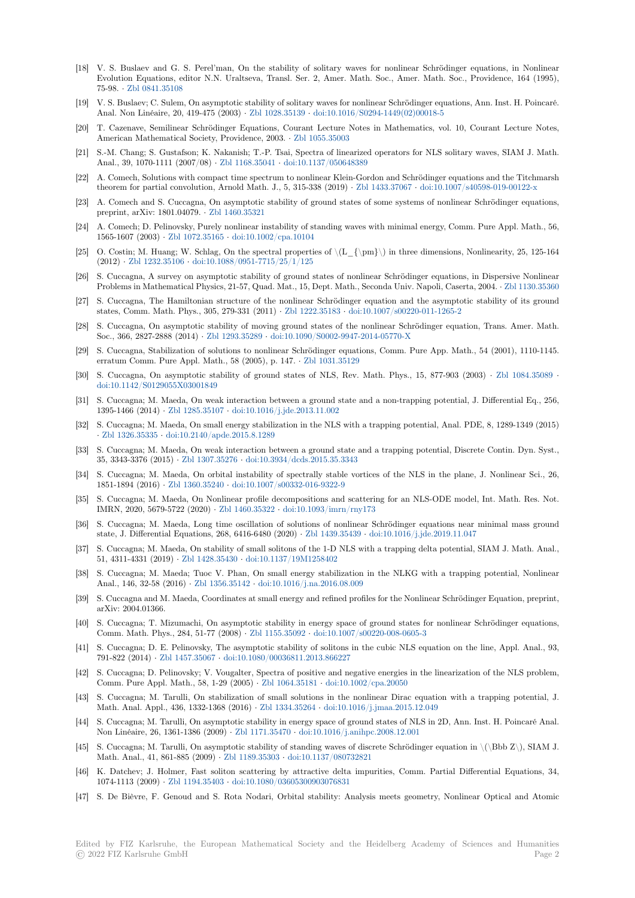- [18] V. S. Buslaev and G. S. Perel'man, On the stability of solitary waves for nonlinear Schrödinger equations, in Nonlinear Evolution Equations, editor N.N. Uraltseva, Transl. Ser. 2, Amer. Math. Soc., Amer. Math. Soc., Providence, 164 (1995), 75-98. *·* Zbl 0841.35108
- [19] V. S. Buslaev; C. Sulem, On asymptotic stability of solitary waves for nonlinear Schrödinger equations, Ann. Inst. H. Poincaré. Anal. Non Linéaire, 20, 419-475 (2003) *·* Zbl 1028.35139 *·* doi:10.1016/S0294-1449(02)00018-5
- [20] T. Cazenave, Semilinear Schrödinger Equations, Courant Lecture Notes in Mathematics, vol. 10, Courant Lecture Notes, Americ[an Mathematica](https://zbmath.org/0841.35108)l Society, Providence, 2003. *·* Zbl 1055.35003
- [21] S.-M. Chang; S. Gustafson; K. Nakanish; T.-P. Tsai, Spectra of linearized operators for NLS solitary waves, SIAM J. Math. Anal., 39, 1070-1111 (2007/08) *·* Zbl 116[8.35041](https://zbmath.org/1028.35139) *·* doi:10.1[137/050648389](https://dx.doi.org/10.1016/S0294-1449(02)00018-5)
- [22] A. Comech, Solutions with compact time spectrum to nonlinear Klein-Gordon and Schrödinger equations and the Titchmarsh theorem for partial convolution, Arnold Math. J., 5, [315-338 \(2019\)](https://zbmath.org/1055.35003) *·* Zbl 1433.37067 *·* doi:10.1007/s40598-019-00122-x
- [23] A. Comech and S. Cuccagna, On asymptotic stability of ground states of some systems of nonlinear Schrödinger equations, preprint, arXiv: 1801.04079. *·* Zb[l 1460.35321](https://zbmath.org/1168.35041)
- [24] A. Comech; D. Pelinovsky, Purely nonlinear instability of standing waves with minimal energy, Comm. Pure Appl. Math., 56, 1565-1607 (2003) *·* Zbl 1072.35165 *·* doi:10.1002/cpa.10104
- [25] O. Costin; M. Huang; W. Schlag, On the spectral properties of  $\langle L_{\rm{mm}}\rangle$  in three dimensions, Nonlinearity, 25, 125-164 (2012) *·* Zbl 1232.35106 *·* doi:[10.1088/0951-77](https://zbmath.org/1460.35321)15/25/1/125
- [26] S. Cuccagna, A survey on asymptotic stability of ground states of nonlinear Schrödinger equations, in Dispersive Nonlinear Problems in Mathe[matical Physics,](https://zbmath.org/1072.35165)2[1-57, Quad. Mat., 15, D](https://dx.doi.org/10.1002/cpa.10104)ept. Math., Seconda Univ. Napoli, Caserta, 2004. *·* Zbl 1130.35360
- [27] S. Cuccagna, The Hamiltonian structure of the nonlinear Schrödinger equation and the asymptotic stability of its ground states, [Comm. Math. Ph](https://zbmath.org/1232.35106)[ys., 305, 279-331 \(2011\)](https://dx.doi.org/10.1088/0951-7715/25/1/125) *·* Zbl 1222.35183 *·* doi:10.1007/s00220-011-1265-2
- [28] S. Cuccagna, On asymptotic stability of moving ground states of the nonlinear Schrödinger equation, Trans. Amer. Math. Soc., 366, 2827-2888 (2014) *·* Zbl 1293.35289 *·* doi:10.1090/S0002-9947-2014-05770-X
- [29] S. Cuccagna, Stabilization of solutions to nonlinear Schrödinger equations, Comm. Pure App. Math., 54 (2001), 1110-1145. erratum Comm. Pure Appl. Math., 58 (2005), p. 147. *·* [Zbl 1031.3](https://zbmath.org/1222.35183)5[129](https://dx.doi.org/10.1007/s00220-011-1265-2)
- [30] S. Cuccagna, On asymptotic stability of ground states of NLS, Rev. Math. Phys., 15, 877-903 (2003) *·* Zbl 1084.35089 *·* doi:10.1142/S0129055X03001[849](https://zbmath.org/1293.35289)
- [31] S. Cuccagna; M. Maeda, On weak interaction between a ground state and a non-trapping potential, J. Differential Eq., 256, 1395-1466 (2014) *·* Zbl 1285.35107 *·* doi:10.1016/j.jde.2[013.11.002](https://zbmath.org/1031.35129)
- [32] S. Cuccagna; M. Maeda, On small energy stabilization in the NLS with a trapping potential, Anal. PDE, 8, [1289-1349 \(2015](https://zbmath.org/1084.35089)) *·* [Zbl 1326.35335](https://dx.doi.org/10.1142/S0129055X03001849) *·* doi:10.2140/apde.2015.8.1289
- [33] S. Cuccagna; M. Maeda, On weak interaction between a ground state and a trapping potential, Discrete Contin. Dyn. Syst., 35, 3343-3376 (2015) *·* [Zbl 1307.35](https://zbmath.org/1285.35107)276 *·* [doi:10.3934/dcds.2015.35.](https://dx.doi.org/10.1016/j.jde.2013.11.002)3343
- [34] S. Cuccagna; M. Maeda, On orbital instability of spectrally stable vortices of the NLS in the plane, J. Nonlinear Sci., 26, 1[851-1894 \(2016\)](https://zbmath.org/1326.35335) *·* [Zbl 1360.35240](https://dx.doi.org/10.2140/apde.2015.8.1289) *·* doi:10.1007/s00332-016-9322-9
- [35] S. Cuccagna; M. Maeda, On Nonlinear profile decompositions and scattering for an NLS-ODE model, Int. Math. Res. Not. IMRN, 2020, 5679-572[2 \(2020\)](https://zbmath.org/1307.35276) *·* Zbl 1460.35322 *·* [doi:10.1093/imrn/rn](https://dx.doi.org/10.3934/dcds.2015.35.3343)y173
- [36] S. Cuccagna; M. Maeda, Long time oscillation of solutions of nonlinear Schrödinger equations near minimal mass ground state, J. Differenti[al Equations, 26](https://zbmath.org/1360.35240)8, [6416-6480 \(2020\)](https://dx.doi.org/10.1007/s00332-016-9322-9) *·* Zbl 1439.35439 *·* doi:10.1016/j.jde.2019.11.047
- [37] S. Cuccagna; M. Maeda, On stability of small solitons of the 1-D NLS with a trapping delta potential, SIAM J. Math. Anal., 51, 4311-4331 (2019) *·* Zbl 1428.35430 *·* [doi:10.11](https://zbmath.org/1460.35322)[37/19M1258402](https://dx.doi.org/10.1093/imrn/rny173)
- [38] S. Cuccagna; M. Maeda; Tuoc V. Phan, On small energy stabilization in the NLKG with a trapping potential, Nonlinear Anal., 146, 32-58 (2016) *·* Zbl 1356.35142 *·* doi:10.1016/[j.na.2016.08.009](https://zbmath.org/1439.35439)
- [39] S. Cuccagna and M. Maeda, Coordinates at small energy and refined profiles for the Nonlinear Schrödinger Equation, preprint, arXiv: 2004.01366.
- [40] S. Cuccagna; T. Mizumachi, On asymptotic stability in energy space of ground states for nonlinear Schrödinger equations, Comm. Math. Phys., 284, [51-77 \(2008\)](https://zbmath.org/1356.35142) *·* Zbl 1155.35092 *·* [doi:10.1007/s0](https://dx.doi.org/10.1016/j.na.2016.08.009)0220-008-0605-3
- [41] S. Cuccagna; D. E. Pelinovsky, The asymptotic stability of solitons in the cubic NLS equation on the line, Appl. Anal., 93, 791-822 (2014) *·* Zbl 1457.35067 *·* doi:10.1080/00036811.2013.866227
- [42] S. Cuccagna; D. Pelinovsky; V. Vougalter, Spectra of positive and negative energies in the linearization of the NLS problem, Comm. Pure Appl. Math., 58, 1-29 (2005) *·* [Zbl 1064.351](https://zbmath.org/1155.35092)81 *·* [doi:10.1002/cpa.20050](https://dx.doi.org/10.1007/s00220-008-0605-3)
- [43] S. Cuccagna; M. Tarulli, On stabilization of small solutions in the nonlinear Dirac equation with a trapping potential, J. Math. Anal. Ap[pl., 436, 1332-13](https://zbmath.org/1457.35067)68 (2016) *·* [Zbl 1334.35264](https://dx.doi.org/10.1080/00036811.2013.866227) *·* doi:10.1016/j.jmaa.2015.12.049
- [44] S. Cuccagna; M. Tarulli, On asymptotic stability in energy space of ground states of NLS in 2D, Ann. Inst. H. Poincaré Anal. Non Linéaire, 26, 1361-1386 (2009) *·* Zbl 11[71.35470](https://zbmath.org/1064.35181) *·* doi:10.[1016/j.anihpc.2008.12.0](https://dx.doi.org/10.1002/cpa.20050)01
- [45] S. Cuccagna; M. Tarulli, On asymptotic stability of standing waves of discrete Schrödinger equation in \(\Bbb Z\), SIAM J. Math. Anal., 41, 861-885 (2009) *·* Zbl 1189.35303 *·* [doi:10.1](https://zbmath.org/1334.35264)1[37/080732821](https://dx.doi.org/10.1016/j.jmaa.2015.12.049)
- [46] K. Datchev; J. Holmer, Fast soliton scattering by attractive delta impurities, Comm. Partial Differential Equations, 34, 1074-1113 (2009) *·* Zbl 1194.35403 *·* [doi:10.1080/0360](https://zbmath.org/1171.35470)[5300903076831](https://dx.doi.org/10.1016/j.anihpc.2008.12.001)
- [47] S. De Bièvre, F. Genoud and S. Rota Nodari, Orbital stability: Analysis meets geometry, Nonlinear Optical and Atomic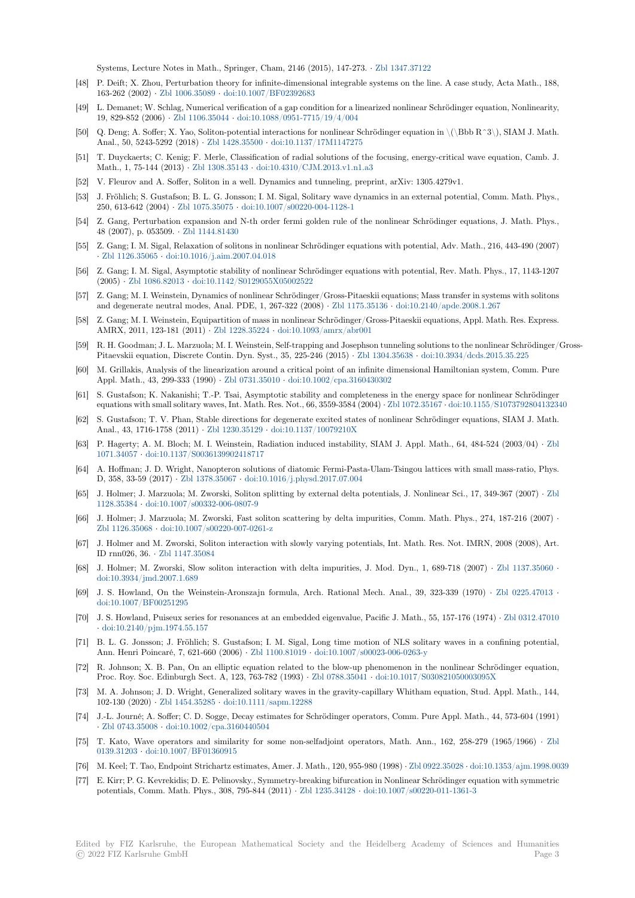Systems, Lecture Notes in Math., Springer, Cham, 2146 (2015), 147-273. *·* Zbl 1347.37122

- [48] P. Deift; X. Zhou, Perturbation theory for infinite-dimensional integrable systems on the line. A case study, Acta Math., 188, 163-262 (2002) *·* Zbl 1006.35089 *·* doi:10.1007/BF02392683
- [49] L. Demanet; W. Schlag, Numerical verification of a gap condition for a linearized nonlinear Schrödinger equation, Nonlinearity, 19, 829-852 (2006) *·* Zbl 1106.35044 *·* doi:10.1088/0951-7715/19/4/004
- [50] Q. Deng; A. Soffer; X. Yao, Soliton-potential interactions for nonlinear Schrödinger equation in \(\Bbb R^3\), SIAM J. Math. Anal., 50, 5243-5[292 \(2018\)](https://zbmath.org/1006.35089) *·* Zbl 1428.35500 *·* [doi:10.1137/](https://dx.doi.org/10.1007/BF02392683)17M1147275
- [51] T. Duyckaerts; C. Kenig; F. Merle, Classification of radial solutions of the focusing, energy-critical wave equation, Camb. J. Math., 1, 75-144 (2013) *·* [Zbl 1308.3](https://zbmath.org/1106.35044)5143 *·* [doi:10.4310/CJM.2013.v1.n1](https://dx.doi.org/10.1088/0951-7715/19/4/004).a3
- [52] V. Fleurov and A. Soffer, Soliton in a well. Dynamics and tunneling, preprint, arXiv: 1305.4279v1.
- [53] J. Fröhlich; S. Gustafson; B. [L. G. Jonsson; I.](https://zbmath.org/1428.35500) [M. Sigal, Solitary wave dy](https://dx.doi.org/10.1137/17M1147275)namics in an external potential, Comm. Math. Phys., 250, 613-642 (2004) *·* Zbl 1075.35075 *·* doi:10.1007/s00220-004-1128-1
- [54] Z. Gang, Perturbation ex[pansion and N-](https://zbmath.org/1308.35143)t[h order fermi golden rule of the](https://dx.doi.org/10.4310/CJM.2013.v1.n1.a3) nonlinear Schrödinger equations, J. Math. Phys., 48 (2007), p. 053509. *·* Zbl 1144.81430
- [55] Z. Gang; I. M. Sigal, Relaxation of solitons in nonlinear Schrödinger equations with potential, Adv. Math., 216, 443-490 (2007) *·* Zbl 1126.35065 *·* doi[:10.1016/j.aim.2](https://zbmath.org/1075.35075)0[07.04.018](https://dx.doi.org/10.1007/s00220-004-1128-1)
- [56] Z. Gang; I. M. Sigal, Asymptotic stability of nonlinear Schrödinger equations with potential, Rev. Math. Phys., 17, 1143-1207 (2005) *·* Zbl 1086.82013 *·* [doi:10.1142/S](https://zbmath.org/1144.81430)0129055X05002522
- [57] Z. Gang; M. I. Weinstein, Dynamics of nonlinear Schrödinger/Gross-Pitaeskii equations; Mass transfer in systems with solitons a[nd degenerate n](https://zbmath.org/1126.35065)e[utral modes, Anal. PDE, 1, 26](https://dx.doi.org/10.1016/j.aim.2007.04.018)7-322 (2008) *·* Zbl 1175.35136 *·* doi:10.2140/apde.2008.1.267
- [58] Z. Gang; M. I. Weinstein, Equipartition of mass in nonlinear Schrödinger/Gross-Pitaeskii equations, Appl. Math. Res. Express. AMRX, [2011, 123-181 \(](https://zbmath.org/1086.82013)2011) *·* [Zbl 1228.35224](https://dx.doi.org/10.1142/S0129055X05002522) *·* doi:10.1093/amrx/abr001
- [59] R. H. Goodman; J. L. Marzuola; M. I. Weinstein, Self-trapping and Josephson tunneling solutions to the nonlinear Schrödinger/Gross-Pitaevskii equation, Discrete Contin. Dyn. Syst., 35, 225-246 (2015) *·* [Zbl 1304](https://zbmath.org/1175.35136).35638 *·* [doi:10.3934/dcds.2015](https://dx.doi.org/10.2140/apde.2008.1.267).35.225
- [60] M. Grillakis, Analysis of the linearization around a critical point of an infinite dimensional Hamiltonian system, Comm. Pure Appl. Math., 43, 299-333 (1990) *·* [Zbl 0731.350](https://zbmath.org/1228.35224)10 *·* [doi:10.1002/cpa.316043](https://dx.doi.org/10.1093/amrx/abr001)0302
- [61] S. Gustafson; K. Nakanishi; T.-P. Tsai, Asymptotic stability and completeness in the energy space for nonlinear Schrödinger equations with small solitary waves, Int. Math. Res. Not., 66, 3559-3584 (2004) *·* [Zbl 107](https://zbmath.org/1304.35638)2.35167 *·* [doi:10.1155/S10737928](https://dx.doi.org/10.3934/dcds.2015.35.225)04132340
- [62] S. Gustafson; T. V. Phan, Stable directions for degenerate excited states of nonlinear Schrödinger equations, SIAM J. Math. Anal., 43, 1716-1758 (2011) *·* Zbl [1230.35129](https://zbmath.org/0731.35010) *·* doi:[10.1137/10079210X](https://dx.doi.org/10.1002/cpa.3160430302)
- [63] P. Hagerty; A. M. Bloch; M. I. Weinstein, Radiation induced instability, SIAM J. Appl. Math., 64, 484-524 (2003/04) *·* Zbl 1071.34057 *·* doi:10.1137/S0036139902418717
- [64] A. Hoffman; J. D. Wright, Nanopteron solutions of diatomic Fermi-Pasta-Ulam-Tsingou lattices with small mass-ratio, Phys. D, 358, 33-59 (2017) *·* Zbl 13[78.35067](https://zbmath.org/1230.35129) *·* doi:10.[1016/j.physd.2017.07.00](https://dx.doi.org/10.1137/10079210X)4
- [65] J. Holmer; J. Marzuola; M. Zworski, Soliton splitting by external delta potentials, J. Nonlinear Sci., 17, 349-367 (2007) *·* [Zbl](https://zbmath.org/1071.34057) [1128.35384](https://zbmath.org/1071.34057) *·* [doi:10.1007/s00332-006-0807-9](https://dx.doi.org/10.1137/S0036139902418717)
- [66] J. Holmer; J. Marzuola; M. Zworski, Fast soliton scattering by delta impurities, Comm. Math. Phys., 274, 187-216 (2007) *·* Zbl 1126.35068 *·* doi:1[0.1007/s00220-0](https://zbmath.org/1378.35067)0[7-0261-z](https://dx.doi.org/10.1016/j.physd.2017.07.004)
- [67] J. Holmer and M. Zworski, Soliton interaction with slowly varying potentials, Int. Math. Res. Not. IMRN, 2008 (2008), [Art.](https://zbmath.org/1128.35384) [ID rnn026,](https://zbmath.org/1128.35384) 36. *·* [Zbl 1147.35084](https://dx.doi.org/10.1007/s00332-006-0807-9)
- [68] J. Holmer; M. Zworski, Slow soliton interaction with delta impurities, J. Mod. Dyn., 1, 689-718 (2007) *·* Zbl 1137.35060 *·* [doi:10.3934/jmd](https://zbmath.org/1126.35068).[2007.1.689](https://dx.doi.org/10.1007/s00220-007-0261-z)
- [69] J. S. Howland, On the Weinstein-Aronszajn formula, Arch. Rational Mech. Anal., 39, 323-339 (1970) *·* Zbl 0225.47013 *·* doi:10.1007/BF0[0251295](https://zbmath.org/1147.35084)
- [70] J. S. Howland, Puiseux series for resonances at an embedded eigenvalue, Pacific J. Math., 55, 157-176 (1974) *·* [Zbl 0312.4701](https://zbmath.org/1137.35060)0 *·* [doi:10.2140/pjm.1974.55.1](https://dx.doi.org/10.3934/jmd.2007.1.689)57
- [71] B. L. G. Jonsson; J. Fröhlich; S. Gustafson; I. M. Sigal, Long time motion of NLS solitary waves in a co[nfining potentia](https://zbmath.org/0225.47013)l, [Ann. Henri Poincaré, 7,](https://dx.doi.org/10.1007/BF00251295) 621-660 (2006) *·* Zbl 1100.81019 *·* doi:10.1007/s00023-006-0263-y
- [72] R. Johnson; X. B. Pan, On an elliptic equation related to the blow-up phenomenon in the nonlinear Schröd[inger equation,](https://zbmath.org/0312.47010) [Proc. Roy. Soc. Edinburgh Sec](https://dx.doi.org/10.2140/pjm.1974.55.157)t. A, 123, 763-782 (1993) *·* Zbl 0788.35041 *·* doi:10.1017/S030821050003095X
- [73] M. A. Johnson; J. D. Wright, Generalized solitary waves in the gravity-capillary Whitham equation, Stud. Appl. Math., 144, 102-130 (2020) *·* Zbl 1454.35285 *·* doi:10.[1111/sapm.1228](https://zbmath.org/1100.81019)8
- [74] J.-L. Journé; A. Soffer; C. D. Sogge, Decay estimates for Schrödinger operators, Comm. Pure Appl. Math., 44, 573-604 (1991) *·* Zbl 0743.35008 *·* doi:10.1002/cpa.3160440504
- [75] T. Kato, Wave operators and similarity for some non-selfadjoint operators, Math. Ann., 162, 258-279 (1965/1966) *·* Zbl 0139.31203 *·* doi:[10.1007/BF013](https://zbmath.org/1454.35285)6[0915](https://dx.doi.org/10.1111/sapm.12288)
- [76] M. Keel; T. Tao, Endpoint Strichartz estimates, Amer. J. Math., 120, 955-980 (1998) *·* Zbl 0922.35028 *·* doi:10.1353/ajm.1998.0039
- [77] [E. Kirr; P. G. Ke](https://zbmath.org/0743.35008)vr[ekidis; D. E. Pelinovsky., Sym](https://dx.doi.org/10.1002/cpa.3160440504)metry-breaking bifurcation in Nonlinear Schrödinger equation with symmetric potentials, Comm. Math. Phys., 308, 795-844 (2011) *·* Zbl 1235.34128 *·* doi:10.1007/s00220-011-1361-3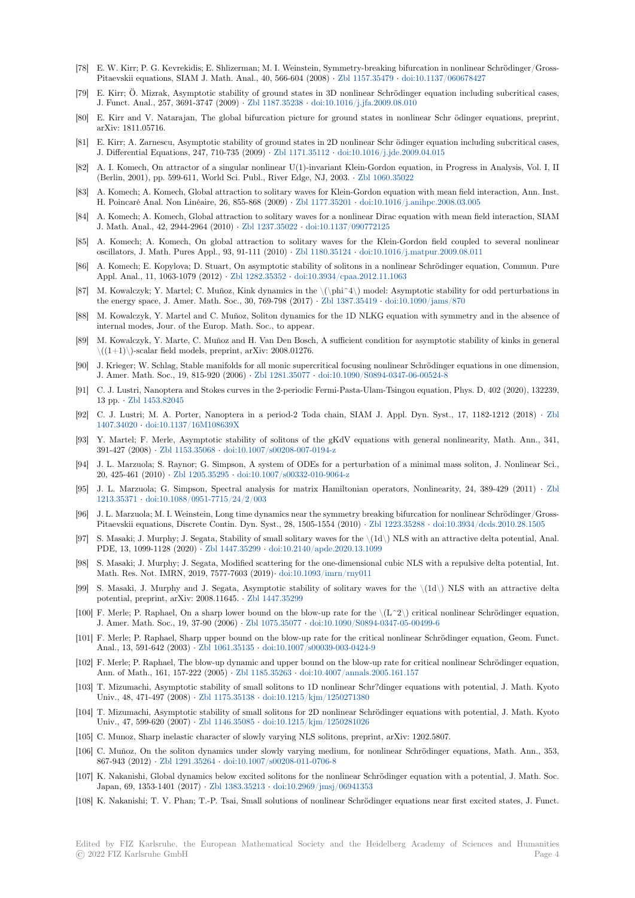- [78] E. W. Kirr; P. G. Kevrekidis; E. Shlizerman; M. I. Weinstein, Symmetry-breaking bifurcation in nonlinear Schrödinger/Gross-Pitaevskii equations, SIAM J. Math. Anal., 40, 566-604 (2008) *·* Zbl 1157.35479 *·* doi:10.1137/060678427
- [79] E. Kirr; Ö. Mizrak, Asymptotic stability of ground states in 3D nonlinear Schrödinger equation including subcritical cases, J. Funct. Anal., 257, 3691-3747 (2009) *·* Zbl 1187.35238 *·* doi:10.1016/j.jfa.2009.08.010
- [80] E. Kirr and V. Natarajan, The global bifurcation picture for ground states in nonlinear Schr ödinger equations, preprint, arXiv: 1811.05716.
- [81] E. Kirr; A. Zarnescu, Asymptotic stability of ground states in 2D nonlinear Schr ödinger equation including subcritical cases, J. Differential Equations, 247, 710-735 (2009) *·* [Zbl 1171](https://zbmath.org/1187.35238).35112 *·* [doi:10.1016/j.jde.2009](https://dx.doi.org/10.1016/j.jfa.2009.08.010).04.015
- [82] A. I. Komech, On attractor of a singular nonlinear U(1)-invariant Klein-Gordon equation, in Progress in Analysis, Vol. I, II (Berlin, 2001), pp. 599-611, World Sci. Publ., River Edge, NJ, 2003. *·* Zbl 1060.35022
- [83] A. Komech; A. Komech, Global attraction to solitary waves for Klein-Gordon equation with mean field interaction, Ann. Inst. H. Poincaré Anal. Non Linéaire, 26, 855-868 (2009) *·* [Zbl 1177.](https://zbmath.org/1171.35112)35201 *·* [doi:10.1016/j.anihpc.20](https://dx.doi.org/10.1016/j.jde.2009.04.015)08.03.005
- [84] A. Komech; A. Komech, Global attraction to solitary waves for a nonlinear Dirac equation with mean field interaction, SIAM J. Math. Anal., 42, 2944-2964 (2010) *·* Zbl 1237.35022 *·* doi:10.1137/0[90772125](https://zbmath.org/1060.35022)
- [85] A. Komech; A. Komech, On global attraction to solitary waves for the Klein-Gordon field coupled to several nonlinear oscillators, J. Math. Pures Appl., 93, 91-111 (2010) *·* [Zbl 1180.35124](https://zbmath.org/1177.35201) *·* [doi:10.1016/j.matpur.2009.08.011](https://dx.doi.org/10.1016/j.anihpc.2008.03.005)
- [86] A. Komech; E. Kopylova; D. Stuart, On asymptotic stability of solitons in a nonlinear Schrödinger equation, Commun. Pure Appl. Anal., 11, 1063-1079 (2012) *·* Zb[l 1282.35352](https://zbmath.org/1237.35022) *·* doi[:10.3934/cpaa.2012.11.1](https://dx.doi.org/10.1137/090772125)063
- [87] M. Kowalczyk; Y. Martel; C. Muñoz, Kink dynamics in the \(\phi^4\) model: Asymptotic stability for odd perturbations in the energy space, J. Amer. Math. Soc., 30, 769-798 (2017) *·* [Zbl 1387](https://zbmath.org/1180.35124).35419 *·* [doi:10.1090/jams/870](https://dx.doi.org/10.1016/j.matpur.2009.08.011)
- [88] M. Kowalczyk, Y. Martel and C. Muñoz, Soliton dynamics for the 1D NLKG equation with symmetry and in the absence of internal modes, Jour. of the Europ. [Math. Soc., to](https://zbmath.org/1282.35352) a[ppear.](https://dx.doi.org/10.3934/cpaa.2012.11.1063)
- [89] M. Kowalczyk, Y. Marte, C. Muñoz and H. Van Den Bosch, A sufficient condition for asymptotic stability of kinks in general  $\langle$ ((1+1) $\rangle$ )-scalar field models, preprint, arXiv: 2008.01276.
- [90] J. Krieger; W. Schlag, Stable manifolds for all monic supercritical focusing nonlinear Schrödinger equations in one dimension, J. Amer. Math. Soc., 19, 815-920 (2006) *·* Zbl 1281.35077 *·* doi:10.1090/S0894-0347-06-00524-8
- [91] C. J. Lustri, Nanoptera and Stokes curves in the 2-periodic Fermi-Pasta-Ulam-Tsingou equation, Phys. D, 402 (2020), 132239, 13 pp. *·* Zbl 1453.82045
- [92] C. J. Lustri; M. A. Porter, Nanoptera in a period-2 Toda chain, SIAM J. Appl. Dyn. Syst., 17, 1182-1212 (2018) *·* Zbl 1407.34020 *·* doi:10.1137/16M108639X
- [93] Y. Martel; F. Merle, Asymptotic stability of solitons of the gKdV equations with general nonlinearity, Math. Ann., 341, 391-427 (2008) *·* [Zbl 115](https://zbmath.org/1453.82045)3.35068 *·* doi:10.1007/s00208-007-0194-z
- [94] J. L. Marzuola; S. Raynor; G. Simpson, A system of ODEs for a perturbation of a minimal mass soliton, J. Nonlinear [Sci.,](https://zbmath.org/1407.34020) [20, 425-461](https://zbmath.org/1407.34020) (2010) *·* [Zbl 1205.35295](https://dx.doi.org/10.1137/16M108639X) *·* doi:10.1007/s00332-010-9064-z
- [95] J. L. Marzuola; G. Simpson, Spectral analysis for matrix Hamiltonian operators, Nonlinearity, 24, 389-429 (2011) *·* Zbl 1213.35371 *·* doi:[10.1088/0951-7](https://zbmath.org/1153.35068)7[15/24/2/003](https://dx.doi.org/10.1007/s00208-007-0194-z)
- [96] J. L. Marzuola; M. I. Weinstein, Long time dynamics near the symmetry breaking bifurcation for nonlinear Schrödinger/Gross-Pitaevskii equations, [Discrete Conti](https://zbmath.org/1205.35295)n. [Dyn. Syst., 28, 1505-1554 \(201](https://dx.doi.org/10.1007/s00332-010-9064-z)0) *·* Zbl 1223.35288 *·* doi:10.3934/dcds.2010.28.1505
- [97] S. Masaki; J. Murphy; J. Segata, Stability of small solitary waves for the \(1d\) NLS with an attractive delta potential, A[nal.](https://zbmath.org/1213.35371) [PDE, 13, 1](https://zbmath.org/1213.35371)099-1128 (2020) *·* [Zbl 1447.35299](https://dx.doi.org/10.1088/0951-7715/24/2/003) *·* doi:10.2140/apde.2020.13.1099
- [98] S. Masaki; J. Murphy; J. Segata, Modified scattering for the one-dimensional cubic NLS with a repulsive delta potential, Int. Math. Res. Not. IMRN, 2019, 7577-7603 (2019)*·* doi:10.1093/imrn/rny01[1](https://zbmath.org/1223.35288)
- [99] S. Masaki, J. Murphy and J. Segata, Asymptotic stability of solitary waves for the \(1d\) NLS with an attractive delta potential, preprint, arXiv: 20[08.11645.](https://zbmath.org/1447.35299) *·* Zbl1[447.35299](https://dx.doi.org/10.2140/apde.2020.13.1099)
- [100] F. Merle; P. Raphael, On a sharp lower bound on the blow-up rate for the  $\langle L^2 \rangle$  critical nonlinear Schrödinger equation, J. Amer. Math. Soc., 19, 37-90 (2006) *·* Zbl 1075.35077 *·* [doi:10.1090/S089](https://dx.doi.org/10.1093/imrn/rny011)4-0347-05-00499-6
- [101] F. Merle; P. Raphael, Sharp upper bound on the blow-up rate for the critical nonlinear Schrödinger equation, Geom. Funct. Anal., 13, 591-642 (2003) *·* Zbl 1061.35135 *·* [doi:10.1007](https://zbmath.org/1447.35299)/s00039-003-0424-9
- [102] F. Merle; P. Raphael, The blow-up dynamic and upper bound on the blow-up rate for critical nonlinear Schrödinger equation, Ann. of Math., 161, 157-222 (2005) *·* Zb[l 1185.35263](https://zbmath.org/1075.35077) *·* do[i:10.4007/annals.2005.161.157](https://dx.doi.org/10.1090/S0894-0347-05-00499-6)
- [103] T. Mizumachi, Asymptotic stability of small solitons to 1D nonlinear Schr?dinger equations with potential, J. Math. Kyoto Univ., 48, 471-497 (2008) *·* [Zbl 1175.35138](https://zbmath.org/1061.35135) *·* [doi:10.1215/kjm/1250271380](https://dx.doi.org/10.1007/s00039-003-0424-9)
- [104] T. Mizumachi, Asymptotic stability of small solitons for 2D nonlinear Schrödinger equations with potential, J. Math. Kyoto Univ., 47, 599-620 (2007) *·* Zbl 1146.35085 *·* [doi:10.1](https://zbmath.org/1185.35263)2[15/kjm/1250281026](https://dx.doi.org/10.4007/annals.2005.161.157)
- [105] C. Munoz, Sharp inelastic character of slowly varying NLS solitons, preprint, arXiv: 1202.5807.
- [106] C. Muñoz, On the soliton [dynamics under](https://zbmath.org/1175.35138) [slowly varying medium, for n](https://dx.doi.org/10.1215/kjm/1250271380)onlinear Schrödinger equations, Math. Ann., 353, 867-943 (2012) *·* Zbl 1291.35264 *·* doi:10.1007/s00208-011-0706-8
- [107] K. Nakanishi, Global dyna[mics below excit](https://zbmath.org/1146.35085)e[d solitons for the nonlinear Sc](https://dx.doi.org/10.1215/kjm/1250281026)hrödinger equation with a potential, J. Math. Soc. Japan, 69, 1353-1401 (2017) *·* Zbl 1383.35213 *·* doi:10.2969/jmsj/06941353
- [108] K. Nakanishi; T. V. Phan; T.-P. Tsai, Small solutions of nonlinear Schrödinger equations near first excited states, J. Funct.